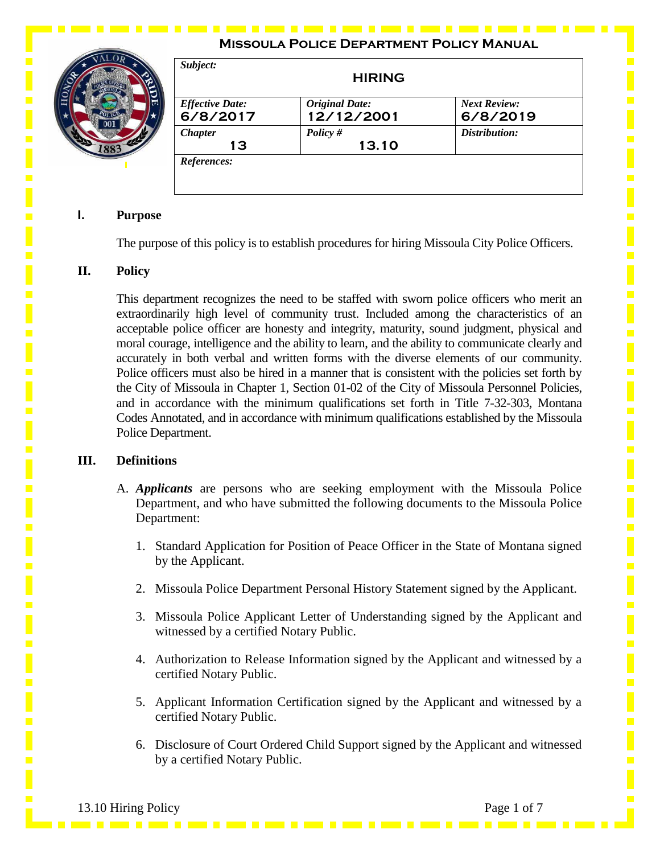**Missoula Police Department Policy Manual**

------------



| Subject:               |                       |                     |
|------------------------|-----------------------|---------------------|
|                        | <b>HIRING</b>         |                     |
| <b>Effective Date:</b> | <b>Original Date:</b> | <b>Next Review:</b> |
| 6/8/2017               | 12/12/2001            | 6/8/2019            |
| <b>Chapter</b>         | Policy $#$            | Distribution:       |
| 13                     | 13.10                 |                     |
| References:            |                       |                     |
|                        |                       |                     |
|                        |                       |                     |

## **I. Purpose**

The purpose of this policy is to establish procedures for hiring Missoula City Police Officers.

## **II. Policy**

This department recognizes the need to be staffed with sworn police officers who merit an extraordinarily high level of community trust. Included among the characteristics of an acceptable police officer are honesty and integrity, maturity, sound judgment, physical and moral courage, intelligence and the ability to learn, and the ability to communicate clearly and accurately in both verbal and written forms with the diverse elements of our community. Police officers must also be hired in a manner that is consistent with the policies set forth by the City of Missoula in Chapter 1, Section 01-02 of the City of Missoula Personnel Policies, and in accordance with the minimum qualifications set forth in Title 7-32-303, Montana Codes Annotated, and in accordance with minimum qualifications established by the Missoula Police Department.

## **III. Definitions**

- A. *Applicants* are persons who are seeking employment with the Missoula Police Department, and who have submitted the following documents to the Missoula Police Department:
	- 1. Standard Application for Position of Peace Officer in the State of Montana signed by the Applicant.
	- 2. Missoula Police Department Personal History Statement signed by the Applicant.
	- 3. Missoula Police Applicant Letter of Understanding signed by the Applicant and witnessed by a certified Notary Public.
	- 4. Authorization to Release Information signed by the Applicant and witnessed by a certified Notary Public.
	- 5. Applicant Information Certification signed by the Applicant and witnessed by a certified Notary Public.
	- 6. Disclosure of Court Ordered Child Support signed by the Applicant and witnessed by a certified Notary Public.

. . . . . . . . . . . .

 $\blacksquare$ 

i

i

 $\blacksquare$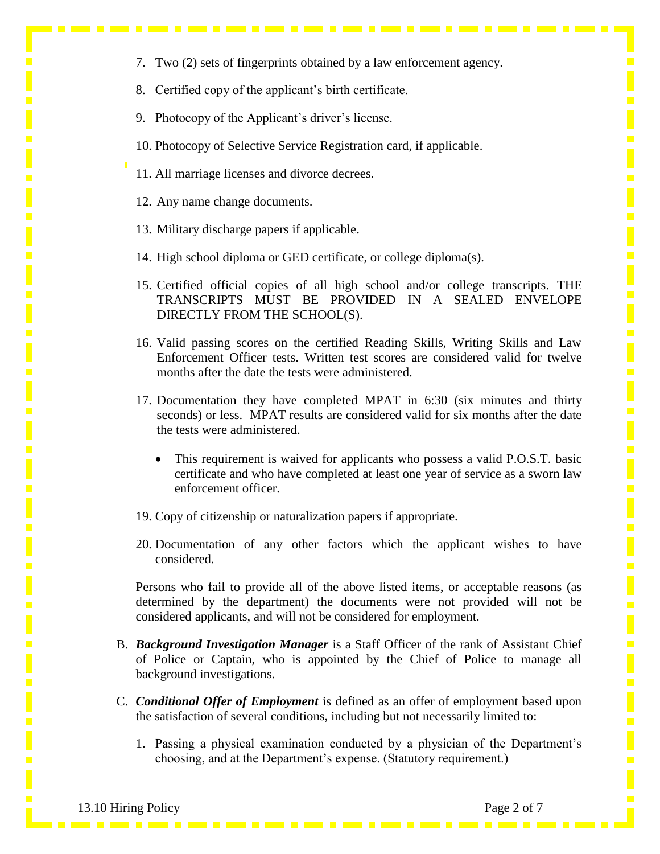7. Two (2) sets of fingerprints obtained by a law enforcement agency.

- 8. Certified copy of the applicant's birth certificate.
- 9. Photocopy of the Applicant's driver's license.
- 10. Photocopy of Selective Service Registration card, if applicable.
- 11. All marriage licenses and divorce decrees.
- 12. Any name change documents.
- 13. Military discharge papers if applicable.
- 14. High school diploma or GED certificate, or college diploma(s).
- 15. Certified official copies of all high school and/or college transcripts. THE TRANSCRIPTS MUST BE PROVIDED IN A SEALED ENVELOPE DIRECTLY FROM THE SCHOOL(S).
- 16. Valid passing scores on the certified Reading Skills, Writing Skills and Law Enforcement Officer tests. Written test scores are considered valid for twelve months after the date the tests were administered.
- 17. Documentation they have completed MPAT in 6:30 (six minutes and thirty seconds) or less. MPAT results are considered valid for six months after the date the tests were administered.
	- This requirement is waived for applicants who possess a valid P.O.S.T. basic certificate and who have completed at least one year of service as a sworn law enforcement officer.
- 19. Copy of citizenship or naturalization papers if appropriate.
- 20. Documentation of any other factors which the applicant wishes to have considered.

Persons who fail to provide all of the above listed items, or acceptable reasons (as determined by the department) the documents were not provided will not be considered applicants, and will not be considered for employment.

- B. *Background Investigation Manager* is a Staff Officer of the rank of Assistant Chief of Police or Captain, who is appointed by the Chief of Police to manage all background investigations.
- C. *Conditional Offer of Employment* is defined as an offer of employment based upon the satisfaction of several conditions, including but not necessarily limited to:

1. Passing a physical examination conducted by a physician of the Department's choosing, and at the Department's expense. (Statutory requirement.)

i

: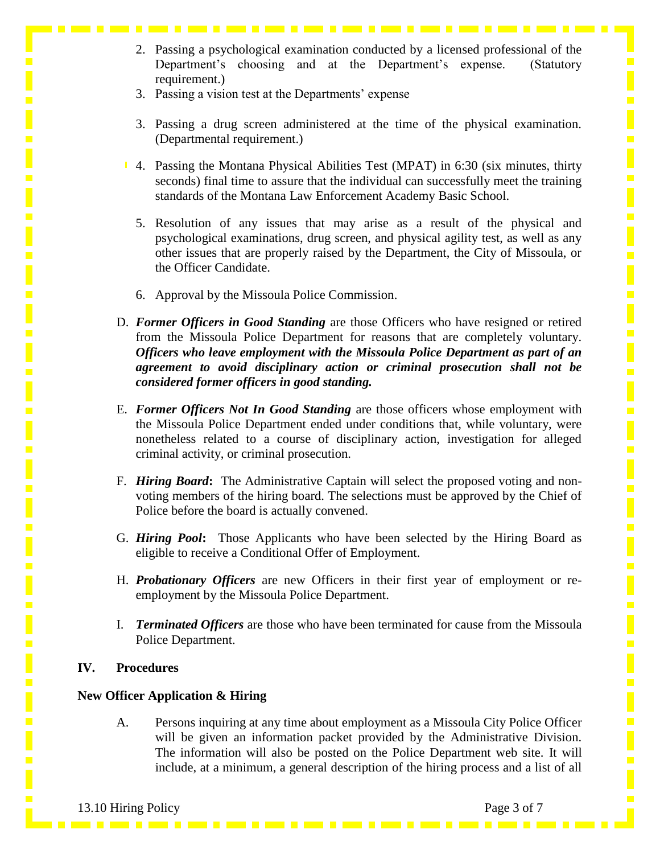2. Passing a psychological examination conducted by a licensed professional of the Department's choosing and at the Department's expense. (Statutory requirement.)

-----------------

- 3. Passing a vision test at the Departments' expense
- 3. Passing a drug screen administered at the time of the physical examination. (Departmental requirement.)
- 4. Passing the Montana Physical Abilities Test (MPAT) in 6:30 (six minutes, thirty seconds) final time to assure that the individual can successfully meet the training standards of the Montana Law Enforcement Academy Basic School.
- 5. Resolution of any issues that may arise as a result of the physical and psychological examinations, drug screen, and physical agility test, as well as any other issues that are properly raised by the Department, the City of Missoula, or the Officer Candidate.
- 6. Approval by the Missoula Police Commission.
- D. *Former Officers in Good Standing* are those Officers who have resigned or retired from the Missoula Police Department for reasons that are completely voluntary. *Officers who leave employment with the Missoula Police Department as part of an agreement to avoid disciplinary action or criminal prosecution shall not be considered former officers in good standing.*
- E. *Former Officers Not In Good Standing* are those officers whose employment with the Missoula Police Department ended under conditions that, while voluntary, were nonetheless related to a course of disciplinary action, investigation for alleged criminal activity, or criminal prosecution.
- F. *Hiring Board***:** The Administrative Captain will select the proposed voting and nonvoting members of the hiring board. The selections must be approved by the Chief of Police before the board is actually convened.
- G. *Hiring Pool***:** Those Applicants who have been selected by the Hiring Board as eligible to receive a Conditional Offer of Employment.
- H. *Probationary Officers* are new Officers in their first year of employment or reemployment by the Missoula Police Department.
- I. *Terminated Officers* are those who have been terminated for cause from the Missoula Police Department.

#### **IV. Procedures**

 $\blacksquare$ 

#### **New Officer Application & Hiring**

A. Persons inquiring at any time about employment as a Missoula City Police Officer will be given an information packet provided by the Administrative Division. The information will also be posted on the Police Department web site. It will include, at a minimum, a general description of the hiring process and a list of all

13.10 Hiring Policy **Page 3 of 7** and 13.10 Hiring Policy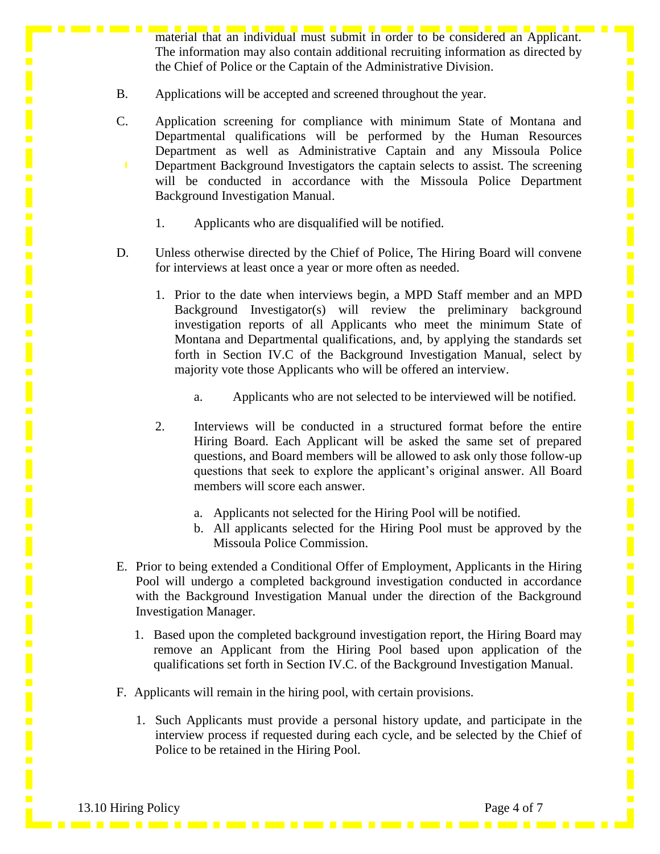material that an individual must submit in order to be considered an Applicant. The information may also contain additional recruiting information as directed by the Chief of Police or the Captain of the Administrative Division.

- B. Applications will be accepted and screened throughout the year.
- C. Application screening for compliance with minimum State of Montana and Departmental qualifications will be performed by the Human Resources Department as well as Administrative Captain and any Missoula Police Department Background Investigators the captain selects to assist. The screening will be conducted in accordance with the Missoula Police Department Background Investigation Manual.
	- 1. Applicants who are disqualified will be notified.
- D. Unless otherwise directed by the Chief of Police, The Hiring Board will convene for interviews at least once a year or more often as needed.
	- 1. Prior to the date when interviews begin, a MPD Staff member and an MPD Background Investigator(s) will review the preliminary background investigation reports of all Applicants who meet the minimum State of Montana and Departmental qualifications, and, by applying the standards set forth in Section IV.C of the Background Investigation Manual, select by majority vote those Applicants who will be offered an interview.
		- a. Applicants who are not selected to be interviewed will be notified.
	- 2. Interviews will be conducted in a structured format before the entire Hiring Board. Each Applicant will be asked the same set of prepared questions, and Board members will be allowed to ask only those follow-up questions that seek to explore the applicant's original answer. All Board members will score each answer.
		- a. Applicants not selected for the Hiring Pool will be notified.
		- b. All applicants selected for the Hiring Pool must be approved by the Missoula Police Commission.
- E. Prior to being extended a Conditional Offer of Employment, Applicants in the Hiring Pool will undergo a completed background investigation conducted in accordance with the Background Investigation Manual under the direction of the Background Investigation Manager.
	- 1. Based upon the completed background investigation report, the Hiring Board may remove an Applicant from the Hiring Pool based upon application of the qualifications set forth in Section IV.C. of the Background Investigation Manual.
- F. Applicants will remain in the hiring pool, with certain provisions.
	- 1. Such Applicants must provide a personal history update, and participate in the interview process if requested during each cycle, and be selected by the Chief of Police to be retained in the Hiring Pool.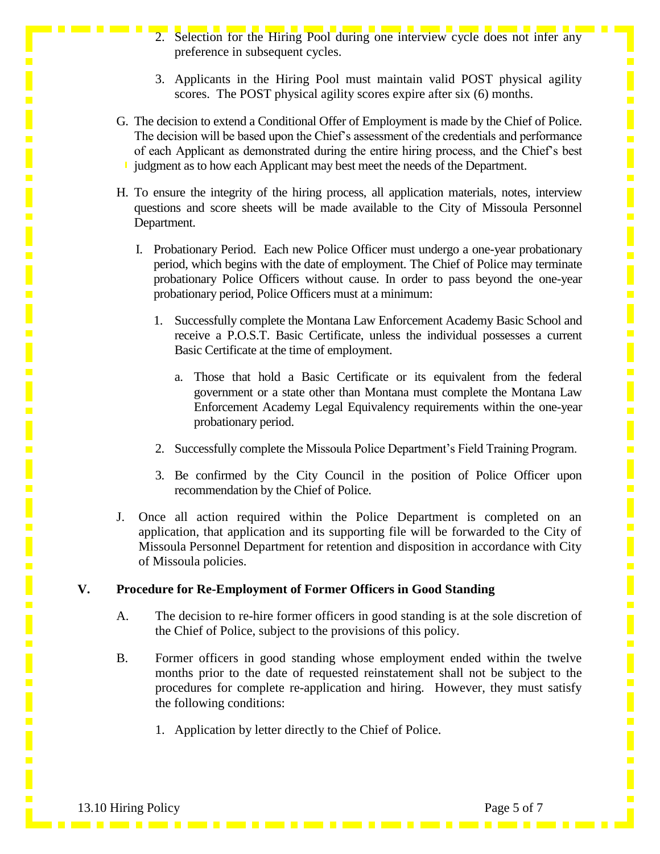- 
- 2. Selection for the Hiring Pool during one interview cycle does not infer any preference in subsequent cycles.
- 3. Applicants in the Hiring Pool must maintain valid POST physical agility scores. The POST physical agility scores expire after six (6) months.
- G. The decision to extend a Conditional Offer of Employment is made by the Chief of Police. The decision will be based upon the Chief's assessment of the credentials and performance of each Applicant as demonstrated during the entire hiring process, and the Chief's best judgment as to how each Applicant may best meet the needs of the Department.
- H. To ensure the integrity of the hiring process, all application materials, notes, interview questions and score sheets will be made available to the City of Missoula Personnel Department.
	- I. Probationary Period. Each new Police Officer must undergo a one-year probationary period, which begins with the date of employment. The Chief of Police may terminate probationary Police Officers without cause. In order to pass beyond the one-year probationary period, Police Officers must at a minimum:
		- 1. Successfully complete the Montana Law Enforcement Academy Basic School and receive a P.O.S.T. Basic Certificate, unless the individual possesses a current Basic Certificate at the time of employment.
			- a. Those that hold a Basic Certificate or its equivalent from the federal government or a state other than Montana must complete the Montana Law Enforcement Academy Legal Equivalency requirements within the one-year probationary period.
		- 2. Successfully complete the Missoula Police Department's Field Training Program.
		- 3. Be confirmed by the City Council in the position of Police Officer upon recommendation by the Chief of Police.
- J. Once all action required within the Police Department is completed on an application, that application and its supporting file will be forwarded to the City of Missoula Personnel Department for retention and disposition in accordance with City of Missoula policies.

# **V. Procedure for Re-Employment of Former Officers in Good Standing**

- A. The decision to re-hire former officers in good standing is at the sole discretion of the Chief of Police, subject to the provisions of this policy.
- B. Former officers in good standing whose employment ended within the twelve months prior to the date of requested reinstatement shall not be subject to the procedures for complete re-application and hiring. However, they must satisfy the following conditions:
	- 1. Application by letter directly to the Chief of Police.

. . . . . . . . . . . . . . .

. . . . . . . . .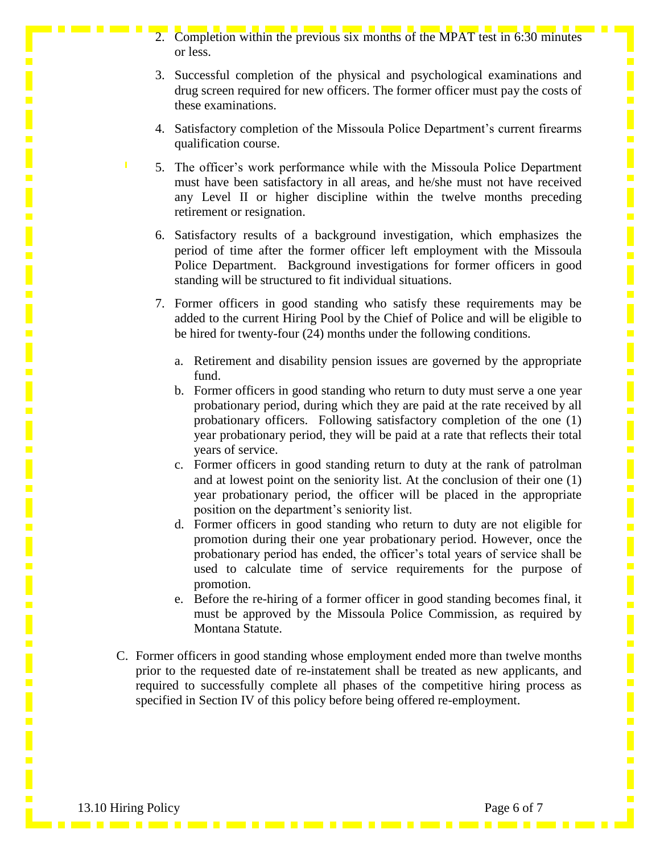- Ī
- 2. Completion within the previous six months of the MPAT test in 6:30 minutes or less.
- 3. Successful completion of the physical and psychological examinations and drug screen required for new officers. The former officer must pay the costs of these examinations.
- 4. Satisfactory completion of the Missoula Police Department's current firearms qualification course.
- 5. The officer's work performance while with the Missoula Police Department must have been satisfactory in all areas, and he/she must not have received any Level II or higher discipline within the twelve months preceding retirement or resignation.
	- 6. Satisfactory results of a background investigation, which emphasizes the period of time after the former officer left employment with the Missoula Police Department. Background investigations for former officers in good standing will be structured to fit individual situations.
	- 7. Former officers in good standing who satisfy these requirements may be added to the current Hiring Pool by the Chief of Police and will be eligible to be hired for twenty-four (24) months under the following conditions.
		- a. Retirement and disability pension issues are governed by the appropriate fund.
		- b. Former officers in good standing who return to duty must serve a one year probationary period, during which they are paid at the rate received by all probationary officers. Following satisfactory completion of the one (1) year probationary period, they will be paid at a rate that reflects their total years of service.
		- c. Former officers in good standing return to duty at the rank of patrolman and at lowest point on the seniority list. At the conclusion of their one (1) year probationary period, the officer will be placed in the appropriate position on the department's seniority list.
		- d. Former officers in good standing who return to duty are not eligible for promotion during their one year probationary period. However, once the probationary period has ended, the officer's total years of service shall be used to calculate time of service requirements for the purpose of promotion.
		- e. Before the re-hiring of a former officer in good standing becomes final, it must be approved by the Missoula Police Commission, as required by Montana Statute.
- C. Former officers in good standing whose employment ended more than twelve months prior to the requested date of re-instatement shall be treated as new applicants, and required to successfully complete all phases of the competitive hiring process as specified in Section IV of this policy before being offered re-employment.

. . . . . . . . . . . . .